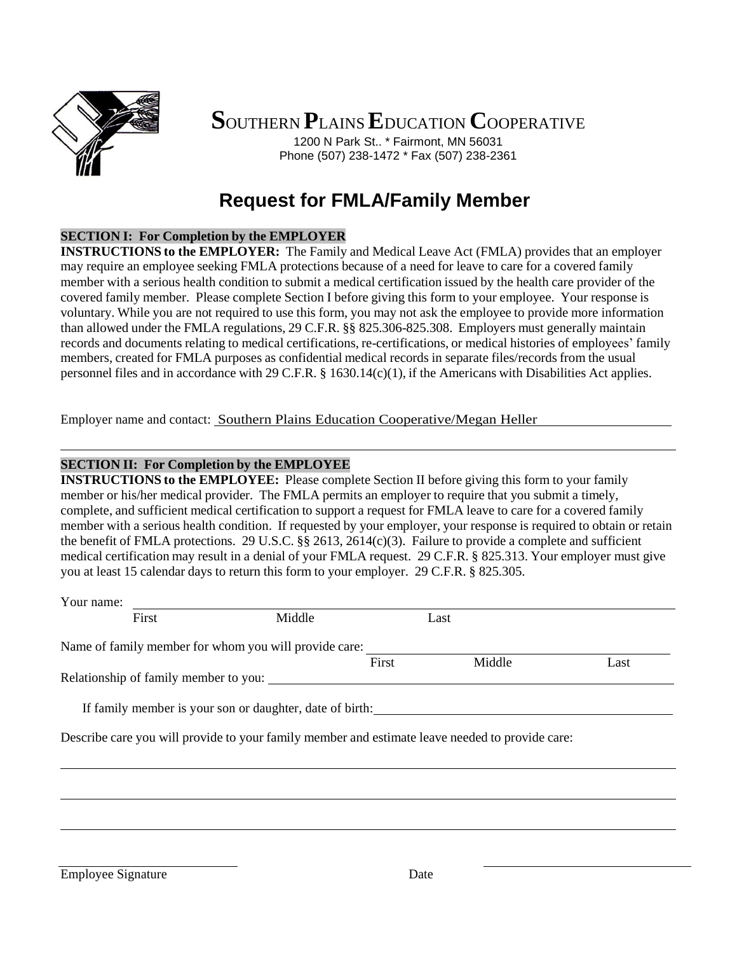

**S**OUTHERN **P**LAINS**E**DUCATION **C**OOPERATIVE

1200 N Park St.. \* Fairmont, MN 56031 Phone (507) 238-1472 \* Fax (507) 238-2361

# **Request for FMLA/Family Member**

## **SECTION I: For Completion by the EMPLOYER**

**INSTRUCTIONS to the EMPLOYER:** The Family and Medical Leave Act (FMLA) provides that an employer may require an employee seeking FMLA protections because of a need for leave to care for a covered family member with a serious health condition to submit a medical certification issued by the health care provider of the covered family member. Please complete Section I before giving this form to your employee. Your response is voluntary. While you are not required to use this form, you may not ask the employee to provide more information than allowed under the FMLA regulations, 29 C.F.R. §§ 825.306-825.308. Employers must generally maintain records and documents relating to medical certifications, re-certifications, or medical histories of employees' family members, created for FMLA purposes as confidential medical records in separate files/records from the usual personnel files and in accordance with 29 C.F.R. § 1630.14(c)(1), if the Americans with Disabilities Act applies.

Employer name and contact: Southern Plains Education Cooperative/Megan Heller

### **SECTION II: For Completion by the EMPLOYEE**

**INSTRUCTIONS to the EMPLOYEE:** Please complete Section II before giving this form to your family member or his/her medical provider. The FMLA permits an employer to require that you submit a timely, complete, and sufficient medical certification to support a request for FMLA leave to care for a covered family member with a serious health condition. If requested by your employer, your response is required to obtain or retain the benefit of FMLA protections. 29 U.S.C. §§ 2613, 2614(c)(3). Failure to provide a complete and sufficient medical certification may result in a denial of your FMLA request. 29 C.F.R. § 825.313. Your employer must give you at least 15 calendar days to return this form to your employer. 29 C.F.R. § 825.305.

| Your name: |       |                                                                                                 |       |        |      |
|------------|-------|-------------------------------------------------------------------------------------------------|-------|--------|------|
|            | First | Middle                                                                                          | Last  |        |      |
|            |       | Name of family member for whom you will provide care:                                           |       |        |      |
|            |       |                                                                                                 | First | Middle | Last |
|            |       |                                                                                                 |       |        |      |
|            |       |                                                                                                 |       |        |      |
|            |       | If family member is your son or daughter, date of birth:                                        |       |        |      |
|            |       |                                                                                                 |       |        |      |
|            |       | Describe care you will provide to your family member and estimate leave needed to provide care: |       |        |      |
|            |       |                                                                                                 |       |        |      |
|            |       |                                                                                                 |       |        |      |
|            |       |                                                                                                 |       |        |      |
|            |       |                                                                                                 |       |        |      |

Employee Signature Date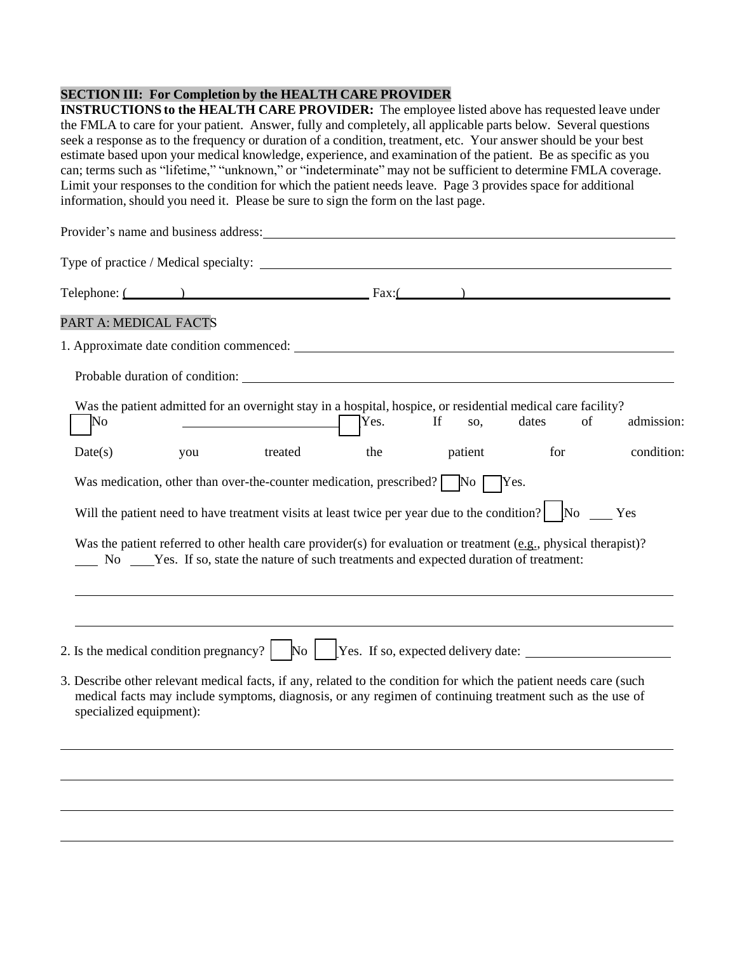### **SECTION III: For Completion by the HEALTH CARE PROVIDER**

**INSTRUCTIONS to the HEALTH CARE PROVIDER:** The employee listed above has requested leave under the FMLA to care for your patient. Answer, fully and completely, all applicable parts below. Several questions seek a response as to the frequency or duration of a condition, treatment, etc. Your answer should be your best estimate based upon your medical knowledge, experience, and examination of the patient. Be as specific as you can; terms such as "lifetime," "unknown," or "indeterminate" may not be sufficient to determine FMLA coverage. Limit your responses to the condition for which the patient needs leave. Page 3 provides space for additional information, should you need it. Please be sure to sign the form on the last page.

| Provider's name and business address: Universe of the set of the set of the set of the set of the set of the set of the set of the set of the set of the set of the set of the set of the set of the set of the set of the set                                                                                                                                                                                         |                           |
|------------------------------------------------------------------------------------------------------------------------------------------------------------------------------------------------------------------------------------------------------------------------------------------------------------------------------------------------------------------------------------------------------------------------|---------------------------|
| Type of practice / Medical specialty:                                                                                                                                                                                                                                                                                                                                                                                  |                           |
| Telephone: $($ and $)$ $\qquad \qquad$ $\qquad$ $\qquad$ $\qquad$ $\qquad$ $\qquad$ $\qquad$ $\qquad$ $\qquad$ $\qquad$ $\qquad$ $\qquad$ $\qquad$ $\qquad$ $\qquad$ $\qquad$ $\qquad$ $\qquad$ $\qquad$ $\qquad$ $\qquad$ $\qquad$ $\qquad$ $\qquad$ $\qquad$ $\qquad$ $\qquad$ $\qquad$ $\qquad$ $\qquad$ $\qquad$ $\qquad$ $\q$                                                                                     |                           |
| PART A: MEDICAL FACTS                                                                                                                                                                                                                                                                                                                                                                                                  |                           |
|                                                                                                                                                                                                                                                                                                                                                                                                                        |                           |
|                                                                                                                                                                                                                                                                                                                                                                                                                        |                           |
| Was the patient admitted for an overnight stay in a hospital, hospice, or residential medical care facility?<br>If<br>No<br>Yes.<br>SO,                                                                                                                                                                                                                                                                                | of<br>admission:<br>dates |
| Date(s)<br>treated<br>the<br>patient<br>you                                                                                                                                                                                                                                                                                                                                                                            | for<br>condition:         |
| Was medication, other than over-the-counter medication, prescribed? $\Box$ No $\Box$ Yes.<br>Will the patient need to have treatment visits at least twice per year due to the condition? No Yes<br>Was the patient referred to other health care provider(s) for evaluation or treatment (e.g., physical therapist)?<br>No ______ Yes. If so, state the nature of such treatments and expected duration of treatment: |                           |
| 2. Is the medical condition pregnancy? $\begin{vmatrix} \text{No} \end{vmatrix}$ Yes. If so, expected delivery date:                                                                                                                                                                                                                                                                                                   |                           |
| 3. Describe other relevant medical facts, if any, related to the condition for which the patient needs care (such<br>medical facts may include symptoms, diagnosis, or any regimen of continuing treatment such as the use of<br>specialized equipment):                                                                                                                                                               |                           |
|                                                                                                                                                                                                                                                                                                                                                                                                                        |                           |
|                                                                                                                                                                                                                                                                                                                                                                                                                        |                           |
|                                                                                                                                                                                                                                                                                                                                                                                                                        |                           |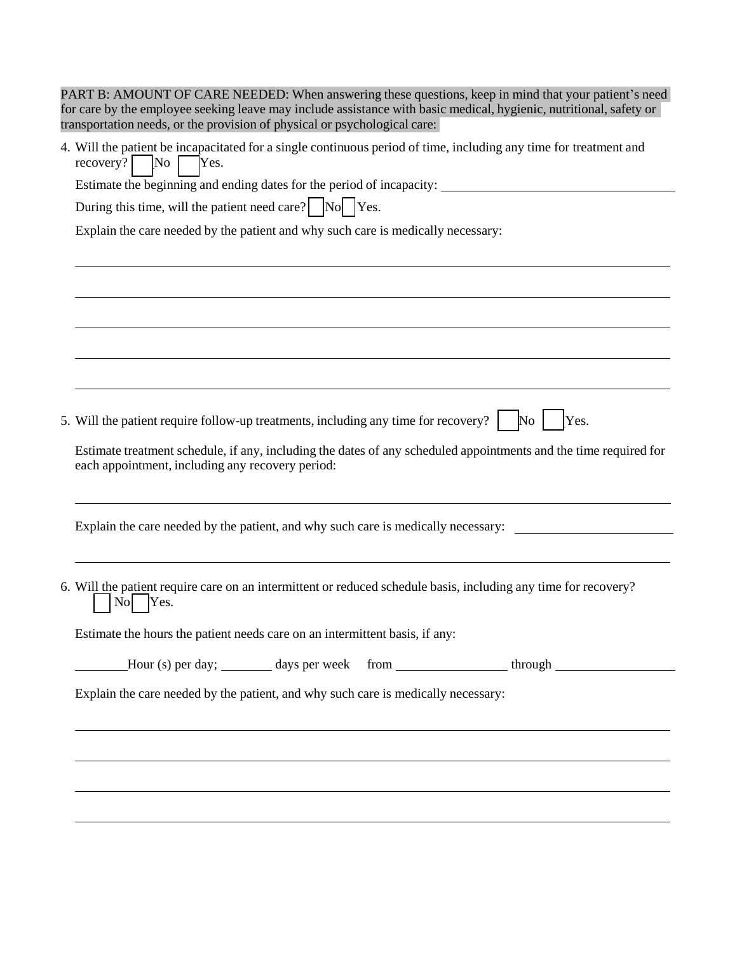| PART B: AMOUNT OF CARE NEEDED: When answering these questions, keep in mind that your patient's need<br>for care by the employee seeking leave may include assistance with basic medical, hygienic, nutritional, safety or<br>transportation needs, or the provision of physical or psychological care: |  |  |  |  |  |
|---------------------------------------------------------------------------------------------------------------------------------------------------------------------------------------------------------------------------------------------------------------------------------------------------------|--|--|--|--|--|
| 4. Will the patient be incapacitated for a single continuous period of time, including any time for treatment and<br>recovery? $\sqrt{\phantom{a}}$ No $\sqrt{\phantom{a}}$<br>Yes.                                                                                                                     |  |  |  |  |  |
| Estimate the beginning and ending dates for the period of incapacity: ______________________________                                                                                                                                                                                                    |  |  |  |  |  |
| During this time, will the patient need care? $\log \log N$ Yes.                                                                                                                                                                                                                                        |  |  |  |  |  |
| Explain the care needed by the patient and why such care is medically necessary:                                                                                                                                                                                                                        |  |  |  |  |  |
|                                                                                                                                                                                                                                                                                                         |  |  |  |  |  |
|                                                                                                                                                                                                                                                                                                         |  |  |  |  |  |
|                                                                                                                                                                                                                                                                                                         |  |  |  |  |  |
|                                                                                                                                                                                                                                                                                                         |  |  |  |  |  |
|                                                                                                                                                                                                                                                                                                         |  |  |  |  |  |
|                                                                                                                                                                                                                                                                                                         |  |  |  |  |  |
|                                                                                                                                                                                                                                                                                                         |  |  |  |  |  |
| 5. Will the patient require follow-up treatments, including any time for recovery? $\begin{bmatrix} \begin{array}{c} \begin{array}{c} \end{array} \\ \end{bmatrix} \end{bmatrix}$ [Yes.                                                                                                                 |  |  |  |  |  |
| Estimate treatment schedule, if any, including the dates of any scheduled appointments and the time required for                                                                                                                                                                                        |  |  |  |  |  |
| each appointment, including any recovery period:                                                                                                                                                                                                                                                        |  |  |  |  |  |
|                                                                                                                                                                                                                                                                                                         |  |  |  |  |  |
| Explain the care needed by the patient, and why such care is medically necessary:                                                                                                                                                                                                                       |  |  |  |  |  |
|                                                                                                                                                                                                                                                                                                         |  |  |  |  |  |
| 6. Will the patient require care on an intermittent or reduced schedule basis, including any time for recovery?<br>$\overline{N_{O}}$<br>Yes.                                                                                                                                                           |  |  |  |  |  |
| Estimate the hours the patient needs care on an intermittent basis, if any:                                                                                                                                                                                                                             |  |  |  |  |  |
|                                                                                                                                                                                                                                                                                                         |  |  |  |  |  |
| Explain the care needed by the patient, and why such care is medically necessary:                                                                                                                                                                                                                       |  |  |  |  |  |
|                                                                                                                                                                                                                                                                                                         |  |  |  |  |  |
|                                                                                                                                                                                                                                                                                                         |  |  |  |  |  |
|                                                                                                                                                                                                                                                                                                         |  |  |  |  |  |
|                                                                                                                                                                                                                                                                                                         |  |  |  |  |  |
|                                                                                                                                                                                                                                                                                                         |  |  |  |  |  |
|                                                                                                                                                                                                                                                                                                         |  |  |  |  |  |